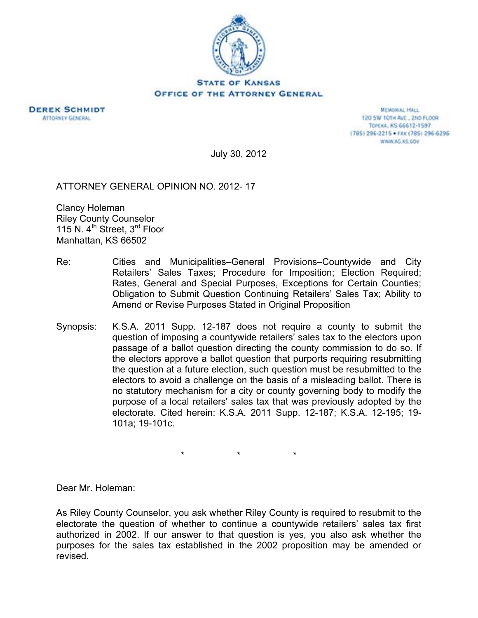

**STATE OF KANSAS** OFFICE OF THE ATTORNEY GENERAL



**MEMORIAL HALL** 120 SW 101H AVE., 2ND FLOOR TOPEXA, KS 66612-1597 (785) 296-2215 · FAX (785) 296-6296 WWW.AG.XS.GOV

July 30, 2012

ATTORNEY GENERAL OPINION NO. 2012- 17

Clancy Holeman Riley County Counselor 115 N. 4<sup>th</sup> Street, 3<sup>rd</sup> Floor Manhattan, KS 66502

- Re: Cities and Municipalities–General Provisions–Countywide and City Retailers' Sales Taxes; Procedure for Imposition; Election Required; Rates, General and Special Purposes, Exceptions for Certain Counties; Obligation to Submit Question Continuing Retailers' Sales Tax; Ability to Amend or Revise Purposes Stated in Original Proposition
- Synopsis: K.S.A. 2011 Supp. 12-187 does not require a county to submit the question of imposing a countywide retailers' sales tax to the electors upon passage of a ballot question directing the county commission to do so. If the electors approve a ballot question that purports requiring resubmitting the question at a future election, such question must be resubmitted to the electors to avoid a challenge on the basis of a misleading ballot. There is no statutory mechanism for a city or county governing body to modify the purpose of a local retailers' sales tax that was previously adopted by the electorate. Cited herein: K.S.A. 2011 Supp. 12-187; K.S.A. 12-195; 19- 101a; 19-101c.

\* \* \*

Dear Mr. Holeman:

As Riley County Counselor, you ask whether Riley County is required to resubmit to the electorate the question of whether to continue a countywide retailers' sales tax first authorized in 2002. If our answer to that question is yes, you also ask whether the purposes for the sales tax established in the 2002 proposition may be amended or revised.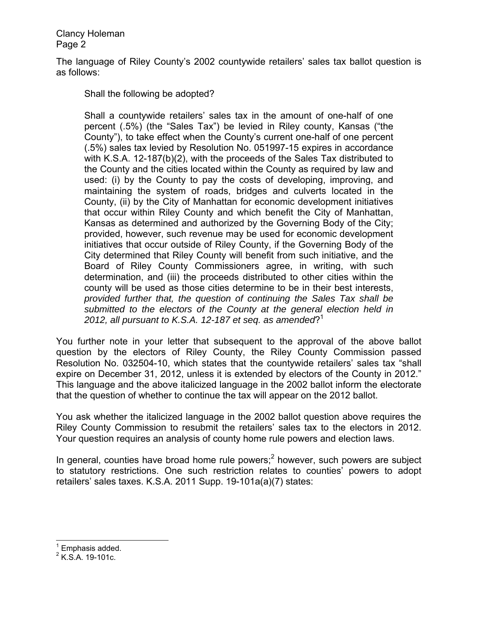The language of Riley County's 2002 countywide retailers' sales tax ballot question is as follows:

Shall the following be adopted?

Shall a countywide retailers' sales tax in the amount of one-half of one percent (.5%) (the "Sales Tax") be levied in Riley county, Kansas ("the County"), to take effect when the County's current one-half of one percent (.5%) sales tax levied by Resolution No. 051997-15 expires in accordance with K.S.A. 12-187(b)(2), with the proceeds of the Sales Tax distributed to the County and the cities located within the County as required by law and used: (i) by the County to pay the costs of developing, improving, and maintaining the system of roads, bridges and culverts located in the County, (ii) by the City of Manhattan for economic development initiatives that occur within Riley County and which benefit the City of Manhattan, Kansas as determined and authorized by the Governing Body of the City; provided, however, such revenue may be used for economic development initiatives that occur outside of Riley County, if the Governing Body of the City determined that Riley County will benefit from such initiative, and the Board of Riley County Commissioners agree, in writing, with such determination, and (iii) the proceeds distributed to other cities within the county will be used as those cities determine to be in their best interests, *provided further that, the question of continuing the Sales Tax shall be submitted to the electors of the County at the general election held in 2012, all pursuant to K.S.A. 12-187 et seq. as amended*?1

You further note in your letter that subsequent to the approval of the above ballot question by the electors of Riley County, the Riley County Commission passed Resolution No. 032504-10, which states that the countywide retailers' sales tax "shall expire on December 31, 2012, unless it is extended by electors of the County in 2012." This language and the above italicized language in the 2002 ballot inform the electorate that the question of whether to continue the tax will appear on the 2012 ballot.

You ask whether the italicized language in the 2002 ballot question above requires the Riley County Commission to resubmit the retailers' sales tax to the electors in 2012. Your question requires an analysis of county home rule powers and election laws.

In general, counties have broad home rule powers;<sup>2</sup> however, such powers are subject to statutory restrictions. One such restriction relates to counties' powers to adopt retailers' sales taxes. K.S.A. 2011 Supp. 19-101a(a)(7) states:

<sup>1&</sup>lt;br><sup>1</sup> Emphasis added.

 $2$  K.S.A. 19-101c.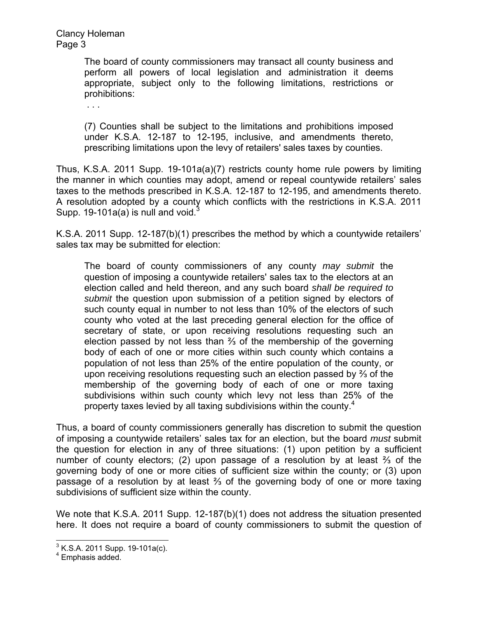> The board of county commissioners may transact all county business and perform all powers of local legislation and administration it deems appropriate, subject only to the following limitations, restrictions or prohibitions:

. . .

(7) Counties shall be subject to the limitations and prohibitions imposed under K.S.A. 12-187 to 12-195, inclusive, and amendments thereto, prescribing limitations upon the levy of retailers' sales taxes by counties.

Thus, K.S.A. 2011 Supp. 19-101a(a)(7) restricts county home rule powers by limiting the manner in which counties may adopt, amend or repeal countywide retailers' sales taxes to the methods prescribed in K.S.A. 12-187 to 12-195, and amendments thereto. A resolution adopted by a county which conflicts with the restrictions in K.S.A. 2011 Supp. 19-101a(a) is null and void. $\frac{3}{5}$ 

K.S.A. 2011 Supp. 12-187(b)(1) prescribes the method by which a countywide retailers' sales tax may be submitted for election:

The board of county commissioners of any county *may submit* the question of imposing a countywide retailers' sales tax to the electors at an election called and held thereon, and any such board *shall be required to submit* the question upon submission of a petition signed by electors of such county equal in number to not less than 10% of the electors of such county who voted at the last preceding general election for the office of secretary of state, or upon receiving resolutions requesting such an election passed by not less than ⅔ of the membership of the governing body of each of one or more cities within such county which contains a population of not less than 25% of the entire population of the county, or upon receiving resolutions requesting such an election passed by ⅔ of the membership of the governing body of each of one or more taxing subdivisions within such county which levy not less than 25% of the property taxes levied by all taxing subdivisions within the county.<sup>4</sup>

Thus, a board of county commissioners generally has discretion to submit the question of imposing a countywide retailers' sales tax for an election, but the board *must* submit the question for election in any of three situations: (1) upon petition by a sufficient number of county electors; (2) upon passage of a resolution by at least ⅔ of the governing body of one or more cities of sufficient size within the county; or (3) upon passage of a resolution by at least ⅔ of the governing body of one or more taxing subdivisions of sufficient size within the county.

We note that K.S.A. 2011 Supp. 12-187(b)(1) does not address the situation presented here. It does not require a board of county commissioners to submit the question of

 3 K.S.A. 2011 Supp. 19-101a(c).

<sup>4</sup> Emphasis added.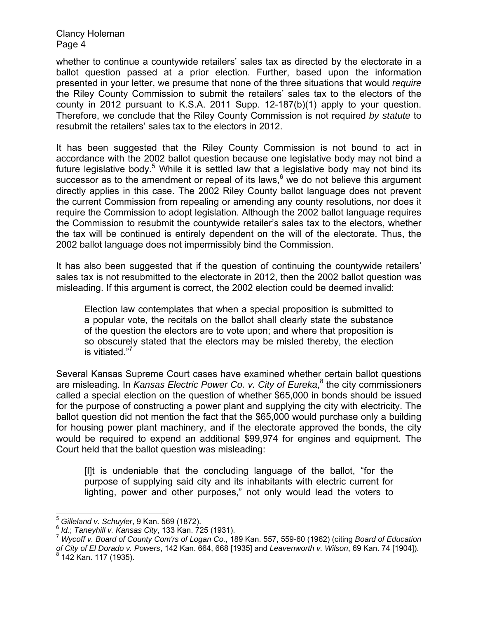whether to continue a countywide retailers' sales tax as directed by the electorate in a ballot question passed at a prior election. Further, based upon the information presented in your letter, we presume that none of the three situations that would *require* the Riley County Commission to submit the retailers' sales tax to the electors of the county in 2012 pursuant to K.S.A. 2011 Supp. 12-187(b)(1) apply to your question. Therefore, we conclude that the Riley County Commission is not required *by statute* to resubmit the retailers' sales tax to the electors in 2012.

It has been suggested that the Riley County Commission is not bound to act in accordance with the 2002 ballot question because one legislative body may not bind a future legislative body.<sup>5</sup> While it is settled law that a legislative body may not bind its successor as to the amendment or repeal of its laws,<sup>6</sup> we do not believe this argument directly applies in this case. The 2002 Riley County ballot language does not prevent the current Commission from repealing or amending any county resolutions, nor does it require the Commission to adopt legislation. Although the 2002 ballot language requires the Commission to resubmit the countywide retailer's sales tax to the electors, whether the tax will be continued is entirely dependent on the will of the electorate. Thus, the 2002 ballot language does not impermissibly bind the Commission.

It has also been suggested that if the question of continuing the countywide retailers' sales tax is not resubmitted to the electorate in 2012, then the 2002 ballot question was misleading. If this argument is correct, the 2002 election could be deemed invalid:

Election law contemplates that when a special proposition is submitted to a popular vote, the recitals on the ballot shall clearly state the substance of the question the electors are to vote upon; and where that proposition is so obscurely stated that the electors may be misled thereby, the election is vitiated."<sup>7</sup>

Several Kansas Supreme Court cases have examined whether certain ballot questions are misleading. In Kansas Electric Power Co. v. City of Eureka,<sup>8</sup> the city commissioners called a special election on the question of whether \$65,000 in bonds should be issued for the purpose of constructing a power plant and supplying the city with electricity. The ballot question did not mention the fact that the \$65,000 would purchase only a building for housing power plant machinery, and if the electorate approved the bonds, the city would be required to expend an additional \$99,974 for engines and equipment. The Court held that the ballot question was misleading:

[I]t is undeniable that the concluding language of the ballot, "for the purpose of supplying said city and its inhabitants with electric current for lighting, power and other purposes," not only would lead the voters to

 $5$  Gilleland v. Schuyler, 9 Kan. 569 (1872).

 $^6$  Id.; Taneyhill v. Kansas City, 133 Kan. 725 (1931).<br> $^7$  Wycoff v. Board of County Com'rs of Logan Co., 189 Kan. 557, 559-60 (1962) (citing Board of Education *of City of El Dorado v. Powers*, 142 Kan. 664, 668 [1935] and *Leavenworth v. Wilson*, 69 Kan. 74 [1904]). <sup>8</sup> 142 Kan. 117 (1935).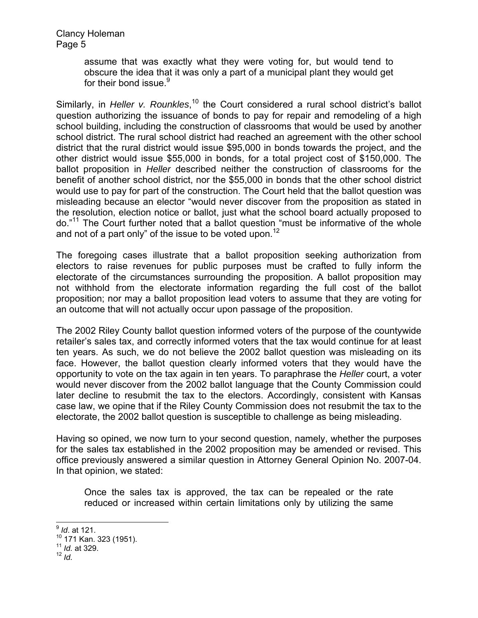> assume that was exactly what they were voting for, but would tend to obscure the idea that it was only a part of a municipal plant they would get for their bond issue.<sup>9</sup>

Similarly, in *Heller v. Rounkles*,<sup>10</sup> the Court considered a rural school district's ballot question authorizing the issuance of bonds to pay for repair and remodeling of a high school building, including the construction of classrooms that would be used by another school district. The rural school district had reached an agreement with the other school district that the rural district would issue \$95,000 in bonds towards the project, and the other district would issue \$55,000 in bonds, for a total project cost of \$150,000. The ballot proposition in *Heller* described neither the construction of classrooms for the benefit of another school district, nor the \$55,000 in bonds that the other school district would use to pay for part of the construction. The Court held that the ballot question was misleading because an elector "would never discover from the proposition as stated in the resolution, election notice or ballot, just what the school board actually proposed to do."11 The Court further noted that a ballot question "must be informative of the whole and not of a part only" of the issue to be voted upon.<sup>12</sup>

The foregoing cases illustrate that a ballot proposition seeking authorization from electors to raise revenues for public purposes must be crafted to fully inform the electorate of the circumstances surrounding the proposition. A ballot proposition may not withhold from the electorate information regarding the full cost of the ballot proposition; nor may a ballot proposition lead voters to assume that they are voting for an outcome that will not actually occur upon passage of the proposition.

The 2002 Riley County ballot question informed voters of the purpose of the countywide retailer's sales tax, and correctly informed voters that the tax would continue for at least ten years. As such, we do not believe the 2002 ballot question was misleading on its face. However, the ballot question clearly informed voters that they would have the opportunity to vote on the tax again in ten years. To paraphrase the *Heller* court, a voter would never discover from the 2002 ballot language that the County Commission could later decline to resubmit the tax to the electors. Accordingly, consistent with Kansas case law, we opine that if the Riley County Commission does not resubmit the tax to the electorate, the 2002 ballot question is susceptible to challenge as being misleading.

Having so opined, we now turn to your second question, namely, whether the purposes for the sales tax established in the 2002 proposition may be amended or revised. This office previously answered a similar question in Attorney General Opinion No. 2007-04. In that opinion, we stated:

Once the sales tax is approved, the tax can be repealed or the rate reduced or increased within certain limitations only by utilizing the same

 $\overline{\phantom{a}}$ 

<sup>9</sup> *Id*. at 121.

<sup>10 171</sup> Kan. 323 (1951).

 $^{11}$  *Id.* at 329.<br><sup>12</sup> *Id.*